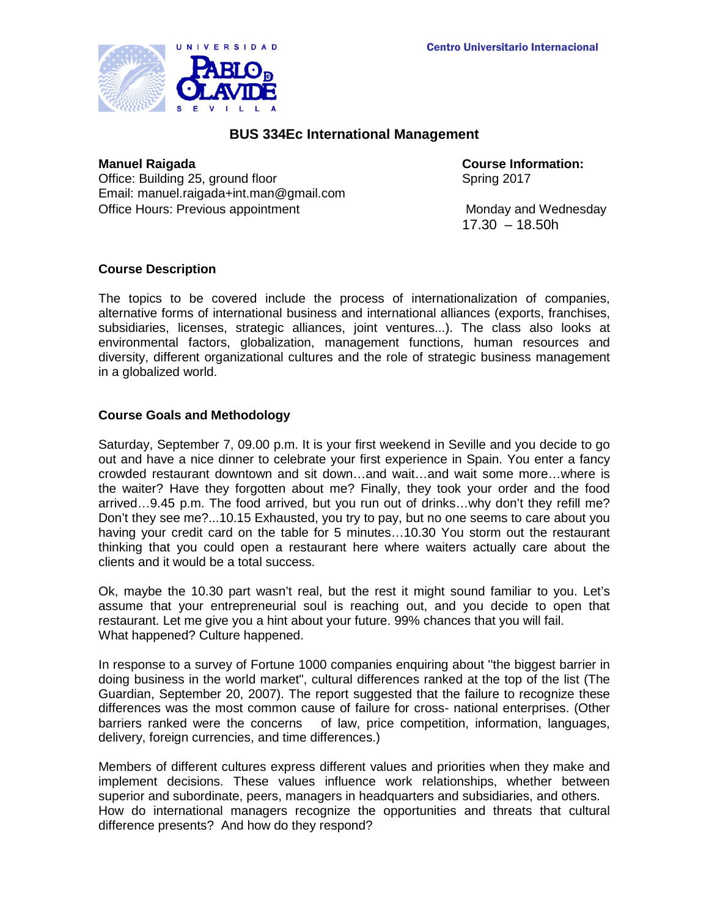

# **BUS 334Ec International Management**

Office: Building 25, ground floor Spring 2017 Email: manuel.raigada+int.man@gmail.com Office Hours: Previous appointment Monday and Wednesday

**Manuel Raigada Course Information:**

17.30 – 18.50h

## **Course Description**

The topics to be covered include the process of internationalization of companies, alternative forms of international business and international alliances (exports, franchises, subsidiaries, licenses, strategic alliances, joint ventures...). The class also looks at environmental factors, globalization, management functions, human resources and diversity, different organizational cultures and the role of strategic business management in a globalized world.

## **Course Goals and Methodology**

Saturday, September 7, 09.00 p.m. It is your first weekend in Seville and you decide to go out and have a nice dinner to celebrate your first experience in Spain. You enter a fancy crowded restaurant downtown and sit down…and wait…and wait some more…where is the waiter? Have they forgotten about me? Finally, they took your order and the food arrived…9.45 p.m. The food arrived, but you run out of drinks…why don't they refill me? Don't they see me?...10.15 Exhausted, you try to pay, but no one seems to care about you having your credit card on the table for 5 minutes…10.30 You storm out the restaurant thinking that you could open a restaurant here where waiters actually care about the clients and it would be a total success.

Ok, maybe the 10.30 part wasn't real, but the rest it might sound familiar to you. Let's assume that your entrepreneurial soul is reaching out, and you decide to open that restaurant. Let me give you a hint about your future. 99% chances that you will fail. What happened? Culture happened.

In response to a survey of Fortune 1000 companies enquiring about ''the biggest barrier in doing business in the world market", cultural differences ranked at the top of the list (The Guardian, September 20, 2007). The report suggested that the failure to recognize these differences was the most common cause of failure for cross- national enterprises. (Other barriers ranked were the concerns of law, price competition, information, languages, delivery, foreign currencies, and time differences.)

Members of different cultures express different values and priorities when they make and implement decisions. These values influence work relationships, whether between superior and subordinate, peers, managers in headquarters and subsidiaries, and others. How do international managers recognize the opportunities and threats that cultural difference presents? And how do they respond?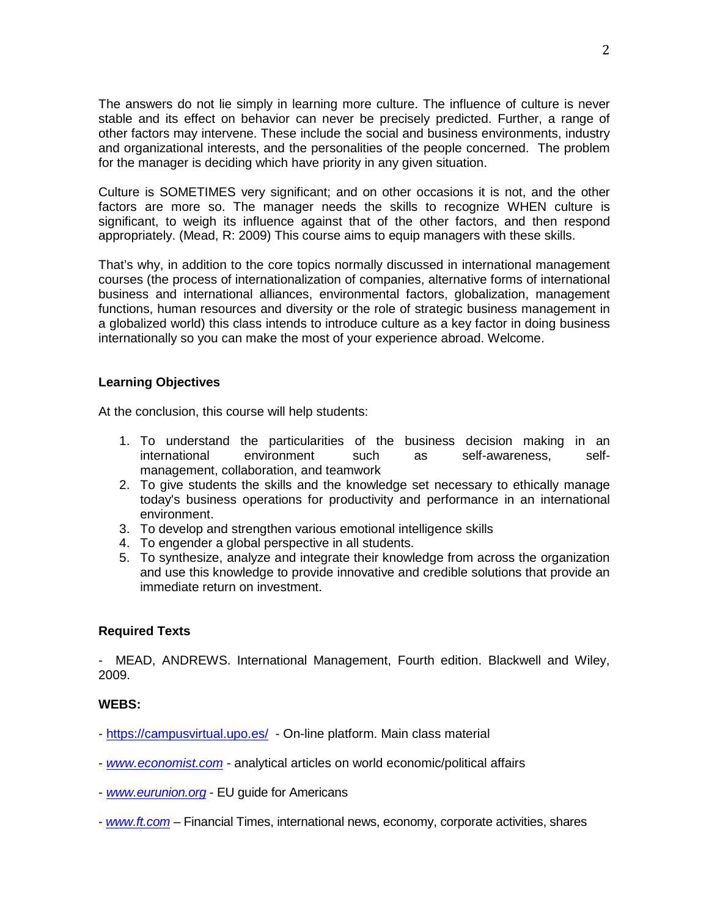The answers do not lie simply in learning more culture. The influence of culture is never stable and its effect on behavior can never be precisely predicted. Further, a range of other factors may intervene. These include the social and business environments, industry and organizational interests, and the personalities of the people concerned. The problem for the manager is deciding which have priority in any given situation.

Culture is SOMETIMES very significant; and on other occasions it is not, and the other factors are more so. The manager needs the skills to recognize WHEN culture is significant, to weigh its influence against that of the other factors, and then respond appropriately. (Mead, R: 2009) This course aims to equip managers with these skills.

That's why, in addition to the core topics normally discussed in international management courses (the process of internationalization of companies, alternative forms of international business and international alliances, environmental factors, globalization, management functions, human resources and diversity or the role of strategic business management in a globalized world) this class intends to introduce culture as a key factor in doing business internationally so you can make the most of your experience abroad. Welcome.

## **Learning Objectives**

At the conclusion, this course will help students:

- 1. To understand the particularities of the business decision making in an international environment such as self-awareness, selfmanagement, collaboration, and teamwork
- 2. To give students the skills and the knowledge set necessary to ethically manage today's business operations for productivity and performance in an international environment.
- 3. To develop and strengthen various emotional intelligence skills
- 4. To engender a global perspective in all students.
- 5. To synthesize, analyze and integrate their knowledge from across the organization and use this knowledge to provide innovative and credible solutions that provide an immediate return on investment.

#### **Required Texts**

- MEAD, ANDREWS. International Management, Fourth edition. Blackwell and Wiley, 2009.

#### **WEBS:**

- <https://campusvirtual.upo.es/> On-line platform. Main class material
- *[www.economist.com](http://www.economist.com/)* analytical articles on world economic/political affairs
- *[www.eurunion.org](http://www.eurunion.org/)* EU guide for Americans
- *[www.ft.com](http://www.ft.com/)* Financial Times, international news, economy, corporate activities, shares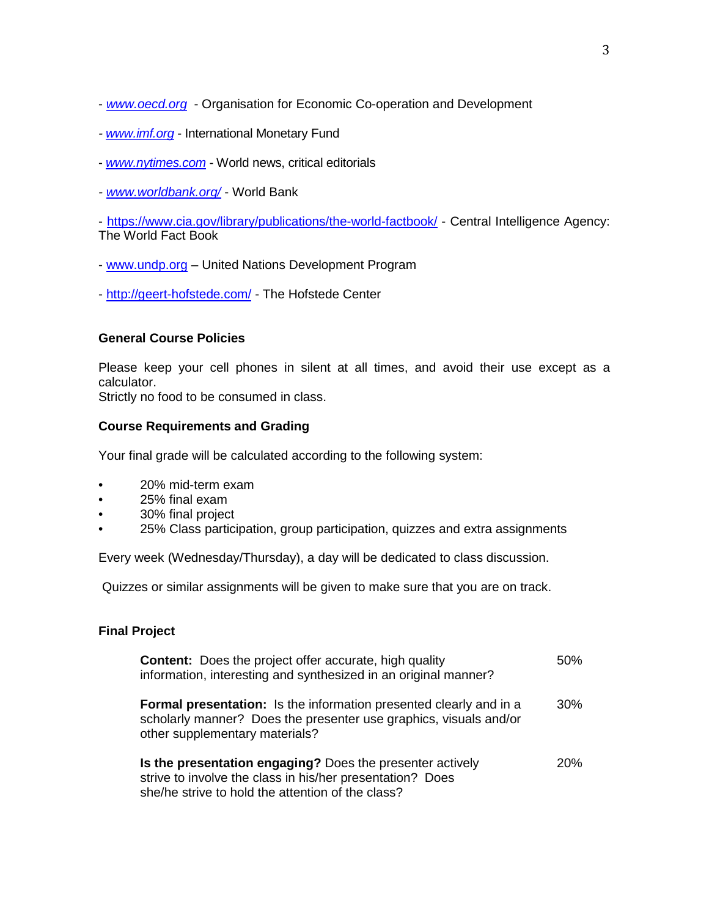- *[www.oecd.org](http://www.oecd.org/)* Organisation for Economic Co-operation and Development
- *- [www.imf.org](http://www.imf.org/)* International Monetary Fund
- *[www.nytimes.com](http://www.nytimes.com/)* World news, critical editorials
- *- [www.worldbank.org/](http://www.worldbank.org/)* World Bank

- <https://www.cia.gov/library/publications/the-world-factbook/> - Central Intelligence Agency: The World Fact Book

- [www.undp.org](http://www.undp.org/) United Nations Development Program
- <http://geert-hofstede.com/> The Hofstede Center

## **General Course Policies**

Please keep your cell phones in silent at all times, and avoid their use except as a calculator.

Strictly no food to be consumed in class.

#### **Course Requirements and Grading**

Your final grade will be calculated according to the following system:

- 20% mid-term exam
- 25% final exam
- 30% final project
- 25% Class participation, group participation, quizzes and extra assignments

Every week (Wednesday/Thursday), a day will be dedicated to class discussion.

Quizzes or similar assignments will be given to make sure that you are on track.

## **Final Project**

| <b>Content:</b> Does the project offer accurate, high quality<br>information, interesting and synthesized in an original manner?                                                 | 50%        |
|----------------------------------------------------------------------------------------------------------------------------------------------------------------------------------|------------|
| <b>Formal presentation:</b> Is the information presented clearly and in a<br>scholarly manner? Does the presenter use graphics, visuals and/or<br>other supplementary materials? | 30%        |
| Is the presentation engaging? Does the presenter actively<br>strive to involve the class in his/her presentation? Does<br>she/he strive to hold the attention of the class?      | <b>20%</b> |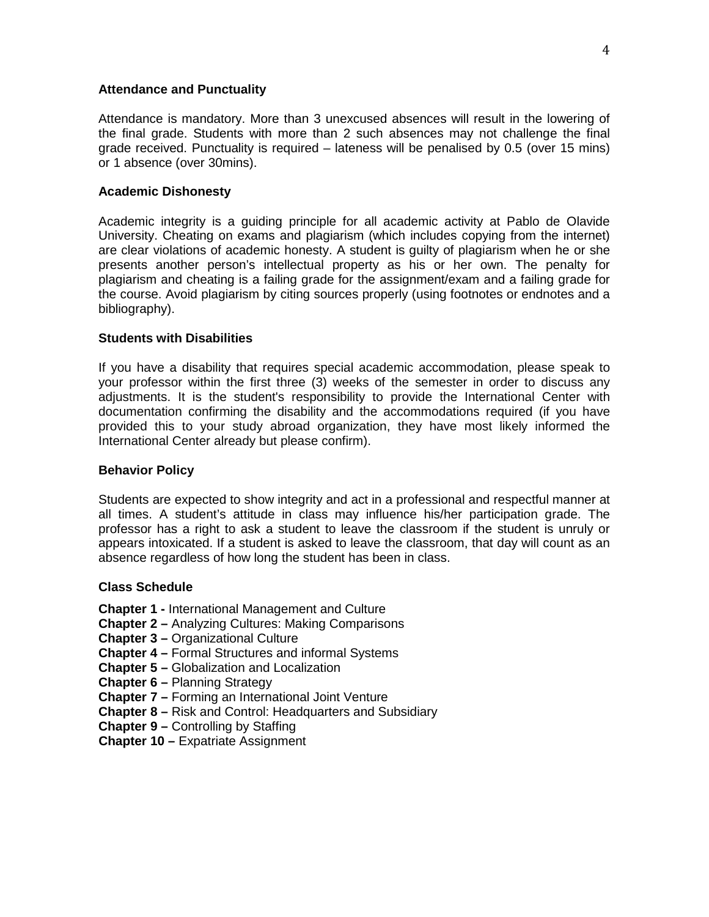#### **Attendance and Punctuality**

Attendance is mandatory. More than 3 unexcused absences will result in the lowering of the final grade. Students with more than 2 such absences may not challenge the final grade received. Punctuality is required – lateness will be penalised by 0.5 (over 15 mins) or 1 absence (over 30mins).

#### **Academic Dishonesty**

Academic integrity is a guiding principle for all academic activity at Pablo de Olavide University. Cheating on exams and plagiarism (which includes copying from the internet) are clear violations of academic honesty. A student is guilty of plagiarism when he or she presents another person's intellectual property as his or her own. The penalty for plagiarism and cheating is a failing grade for the assignment/exam and a failing grade for the course. Avoid plagiarism by citing sources properly (using footnotes or endnotes and a bibliography).

#### **Students with Disabilities**

If you have a disability that requires special academic accommodation, please speak to your professor within the first three (3) weeks of the semester in order to discuss any adjustments. It is the student's responsibility to provide the International Center with documentation confirming the disability and the accommodations required (if you have provided this to your study abroad organization, they have most likely informed the International Center already but please confirm).

#### **Behavior Policy**

Students are expected to show integrity and act in a professional and respectful manner at all times. A student's attitude in class may influence his/her participation grade. The professor has a right to ask a student to leave the classroom if the student is unruly or appears intoxicated. If a student is asked to leave the classroom, that day will count as an absence regardless of how long the student has been in class.

#### **Class Schedule**

**Chapter 1 -** International Management and Culture

- **Chapter 2 –** Analyzing Cultures: Making Comparisons
- **Chapter 3 –** Organizational Culture
- **Chapter 4 –** Formal Structures and informal Systems
- **Chapter 5 –** Globalization and Localization
- **Chapter 6 –** Planning Strategy
- **Chapter 7 –** Forming an International Joint Venture
- **Chapter 8 –** Risk and Control: Headquarters and Subsidiary
- **Chapter 9 –** Controlling by Staffing
- **Chapter 10 –** Expatriate Assignment